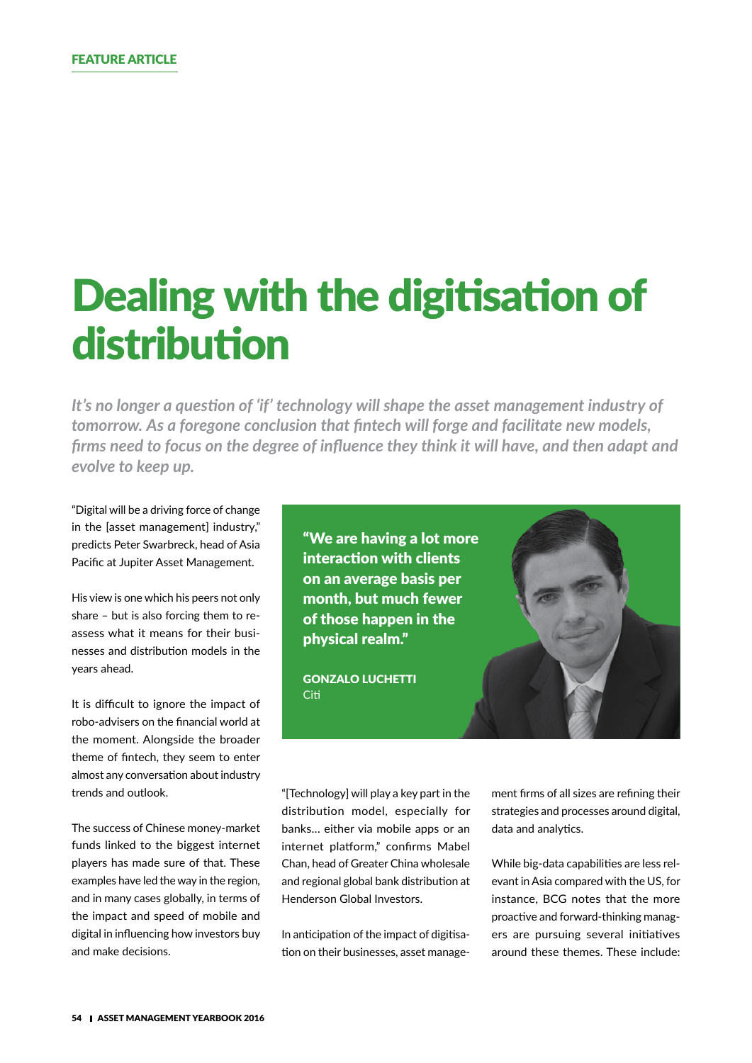# Dealing with the digitisation of distribution

*It's no longer a question of 'if' technology will shape the asset management industry of tomorrow. As a foregone conclusion that fintech will forge and facilitate new models, firms need to focus on the degree of influence they think it will have, and then adapt and evolve to keep up.*

"Digital will be a driving force of change in the [asset management] industry," predicts Peter Swarbreck, head of Asia Pacific at Jupiter Asset Management.

His view is one which his peers not only share – but is also forcing them to reassess what it means for their businesses and distribution models in the years ahead.

It is difficult to ignore the impact of robo-advisers on the financial world at the moment. Alongside the broader theme of fintech, they seem to enter almost any conversation about industry trends and outlook.

The success of Chinese money-market funds linked to the biggest internet players has made sure of that. These examples have led the way in the region, and in many cases globally, in terms of the impact and speed of mobile and digital in influencing how investors buy and make decisions.

"We are having a lot more interaction with clients on an average basis per month, but much fewer of those happen in the physical realm."

GONZALO LUCHETTI Citi



"[Technology] will play a key part in the distribution model, especially for banks… either via mobile apps or an internet platform," confirms Mabel Chan, head of Greater China wholesale and regional global bank distribution at Henderson Global Investors.

In anticipation of the impact of digitisation on their businesses, asset management firms of all sizes are refining their strategies and processes around digital, data and analytics.

While big-data capabilities are less relevant in Asia compared with the US, for instance, BCG notes that the more proactive and forward-thinking managers are pursuing several initiatives around these themes. These include: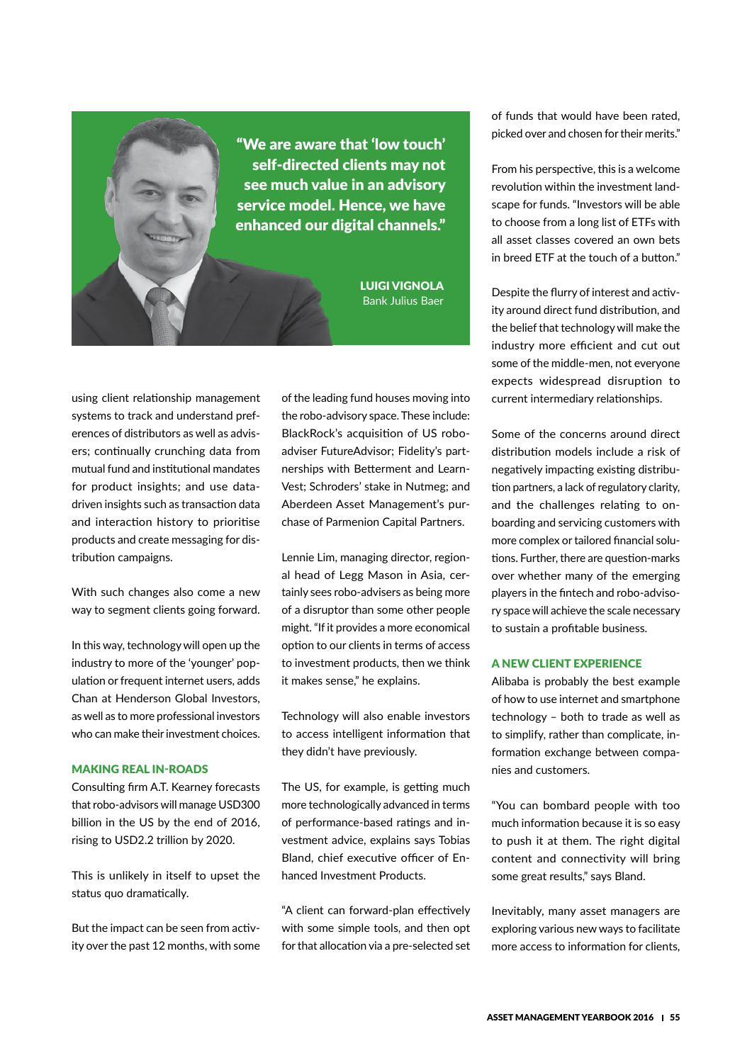"We are aware that 'low touch' self-directed clients may not see much value in an advisory service model. Hence, we have enhanced our digital channels."

> LUIGI VIGNOLA Bank Julius Baer

using client relationship management systems to track and understand preferences of distributors as well as advisers; continually crunching data from mutual fund and institutional mandates for product insights; and use datadriven insights such as transaction data and interaction history to prioritise products and create messaging for distribution campaigns.

With such changes also come a new way to segment clients going forward.

In this way, technology will open up the industry to more of the 'younger' population or frequent internet users, adds Chan at Henderson Global Investors, as well as to more professional investors who can make their investment choices.

### MAKING REAL IN-ROADS

Consulting firm A.T. Kearney forecasts that robo-advisors will manage USD300 billion in the US by the end of 2016, rising to USD2.2 trillion by 2020.

This is unlikely in itself to upset the status quo dramatically.

But the impact can be seen from activity over the past 12 months, with some of the leading fund houses moving into the robo-advisory space. These include: BlackRock's acquisition of US roboadviser FutureAdvisor; Fidelity's partnerships with Betterment and Learn-Vest; Schroders' stake in Nutmeg; and Aberdeen Asset Management's purchase of Parmenion Capital Partners.

Lennie Lim, managing director, regional head of Legg Mason in Asia, certainly sees robo-advisers as being more of a disruptor than some other people might. "If it provides a more economical option to our clients in terms of access to investment products, then we think it makes sense," he explains.

Technology will also enable investors to access intelligent information that they didn't have previously.

The US, for example, is getting much more technologically advanced in terms of performance-based ratings and investment advice, explains says Tobias Bland, chief executive officer of Enhanced Investment Products.

"A client can forward-plan effectively with some simple tools, and then opt for that allocation via a pre-selected set

of funds that would have been rated, picked over and chosen for their merits."

From his perspective, this is a welcome revolution within the investment landscape for funds. "Investors will be able to choose from a long list of ETFs with all asset classes covered an own bets in breed ETF at the touch of a button."

Despite the flurry of interest and activity around direct fund distribution, and the belief that technology will make the industry more efficient and cut out some of the middle-men, not everyone expects widespread disruption to current intermediary relationships.

Some of the concerns around direct distribution models include a risk of negatively impacting existing distribution partners, a lack of regulatory clarity, and the challenges relating to onboarding and servicing customers with more complex or tailored financial solutions. Further, there are question-marks over whether many of the emerging players in the fintech and robo-advisory space will achieve the scale necessary to sustain a profitable business.

## A NEW CLIENT EXPERIENCE

Alibaba is probably the best example of how to use internet and smartphone technology – both to trade as well as to simplify, rather than complicate, information exchange between companies and customers.

"You can bombard people with too much information because it is so easy to push it at them. The right digital content and connectivity will bring some great results," says Bland.

Inevitably, many asset managers are exploring various new ways to facilitate more access to information for clients,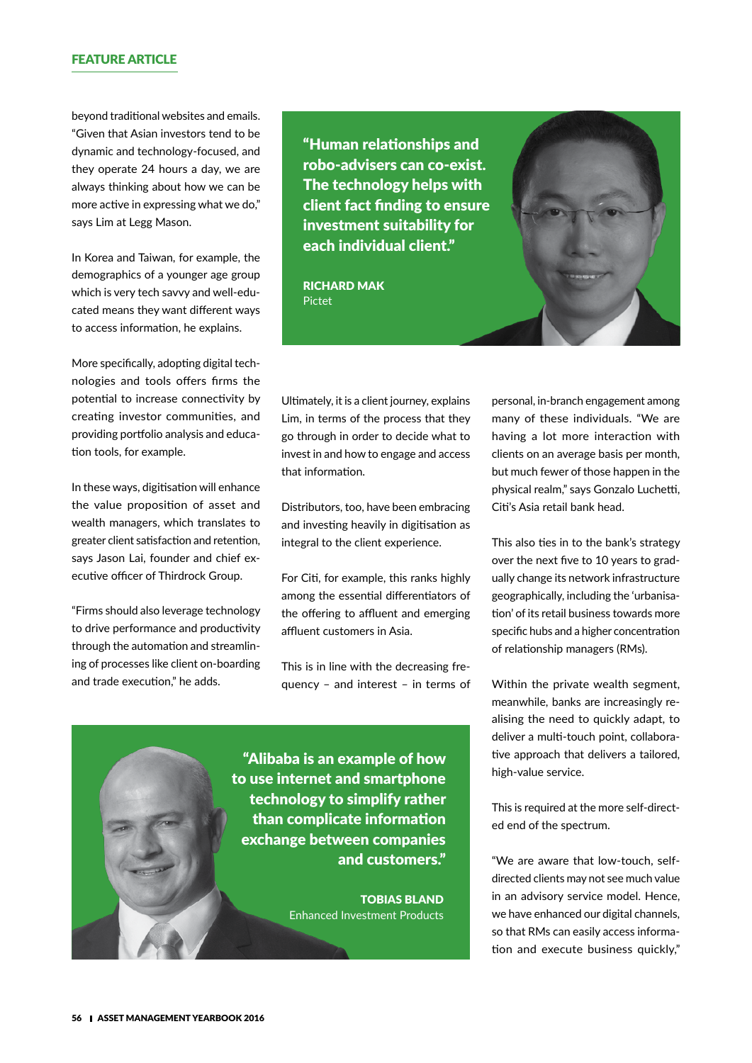## FEATURE ARTICLE

beyond traditional websites and emails. "Given that Asian investors tend to be dynamic and technology-focused, and they operate 24 hours a day, we are always thinking about how we can be more active in expressing what we do," says Lim at Legg Mason.

In Korea and Taiwan, for example, the demographics of a younger age group which is very tech savvy and well-educated means they want different ways to access information, he explains.

More specifically, adopting digital technologies and tools offers firms the potential to increase connectivity by creating investor communities, and providing portfolio analysis and education tools, for example.

In these ways, digitisation will enhance the value proposition of asset and wealth managers, which translates to greater client satisfaction and retention, says Jason Lai, founder and chief executive officer of Thirdrock Group.

"Firms should also leverage technology to drive performance and productivity through the automation and streamlining of processes like client on-boarding and trade execution," he adds.

"Human relationships and robo-advisers can co-exist. The technology helps with client fact finding to ensure investment suitability for each individual client."

RICHARD MAK Pictet



Ultimately, it is a client journey, explains Lim, in terms of the process that they go through in order to decide what to invest in and how to engage and access that information.

Distributors, too, have been embracing and investing heavily in digitisation as integral to the client experience.

For Citi, for example, this ranks highly among the essential differentiators of the offering to affluent and emerging affluent customers in Asia.

This is in line with the decreasing frequency – and interest – in terms of personal, in-branch engagement among many of these individuals. "We are having a lot more interaction with clients on an average basis per month, but much fewer of those happen in the physical realm," says Gonzalo Luchetti, Citi's Asia retail bank head.

This also ties in to the bank's strategy over the next five to 10 years to gradually change its network infrastructure geographically, including the 'urbanisation' of its retail business towards more specific hubs and a higher concentration of relationship managers (RMs).

Within the private wealth segment, meanwhile, banks are increasingly realising the need to quickly adapt, to deliver a multi-touch point, collaborative approach that delivers a tailored, high-value service.

This is required at the more self-directed end of the spectrum.

"We are aware that low-touch, selfdirected clients may not see much value in an advisory service model. Hence, we have enhanced our digital channels, so that RMs can easily access information and execute business quickly,"

"Alibaba is an example of how to use internet and smartphone technology to simplify rather than complicate information exchange between companies and customers."

> TOBIAS BLAND Enhanced Investment Products